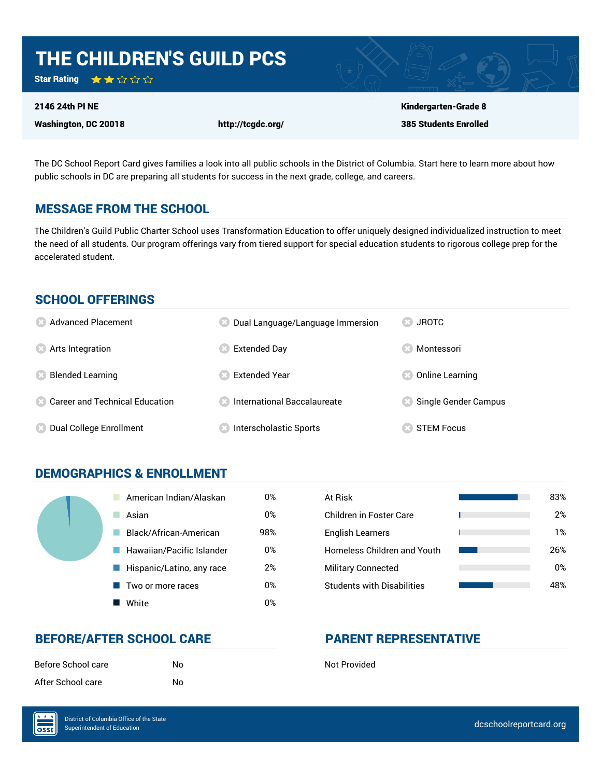

The DC School Report Card gives families a look into all public schools in the District of Columbia. Start here to learn more about how public schools in DC are preparing all students for success in the next grade, college, and careers.

#### MESSAGE FROM THE SCHOOL

The Children's Guild Public Charter School uses Transformation Education to offer uniquely designed individualized instruction to meet the need of all students. Our program offerings vary from tiered support for special education students to rigorous college prep for the accelerated student.

#### SCHOOL OFFERINGS

| <b>8</b> Advanced Placement                        | Dual Language/Language Immersion     | <b>83 JROTC</b>      |
|----------------------------------------------------|--------------------------------------|----------------------|
| <b>8</b> Arts Integration                          | <b>Extended Day</b>                  | Montessori           |
| <b>Blended Learning</b>                            | <b>Extended Year</b>                 | Online Learning      |
| <b>Confidential Career and Technical Education</b> | <b>8</b> International Baccalaureate | Single Gender Campus |
| Dual College Enrollment<br>CS.                     | Interscholastic Sports               | <b>STEM Focus</b>    |

### DEMOGRAPHICS & ENROLLMENT

| American Indian/Alaskan   | 0%  | At Risk                            |
|---------------------------|-----|------------------------------------|
| Asian                     | 0%  | Children in Foster Care            |
| Black/African-American    | 98% | <b>English Learners</b>            |
| Hawaiian/Pacific Islander | 0%  | <b>Homeless Children and Youth</b> |
| Hispanic/Latino, any race | 2%  | <b>Military Connected</b>          |
| Two or more races         | 0%  | <b>Students with Disabilities</b>  |
| White                     | 0%  |                                    |

| At Risk                           | 83% |
|-----------------------------------|-----|
| Children in Foster Care           | 2%  |
| <b>English Learners</b>           | 1%  |
| Homeless Children and Youth       | 26% |
| <b>Military Connected</b>         | 0%  |
| <b>Students with Disabilities</b> | 48% |

## BEFORE/AFTER SCHOOL CARE PARENT REPRESENTATIVE

| Before School care | N٥ |
|--------------------|----|
| After School care  | N٥ |

**Not Provided** 

 $\overline{\text{OSE}}$